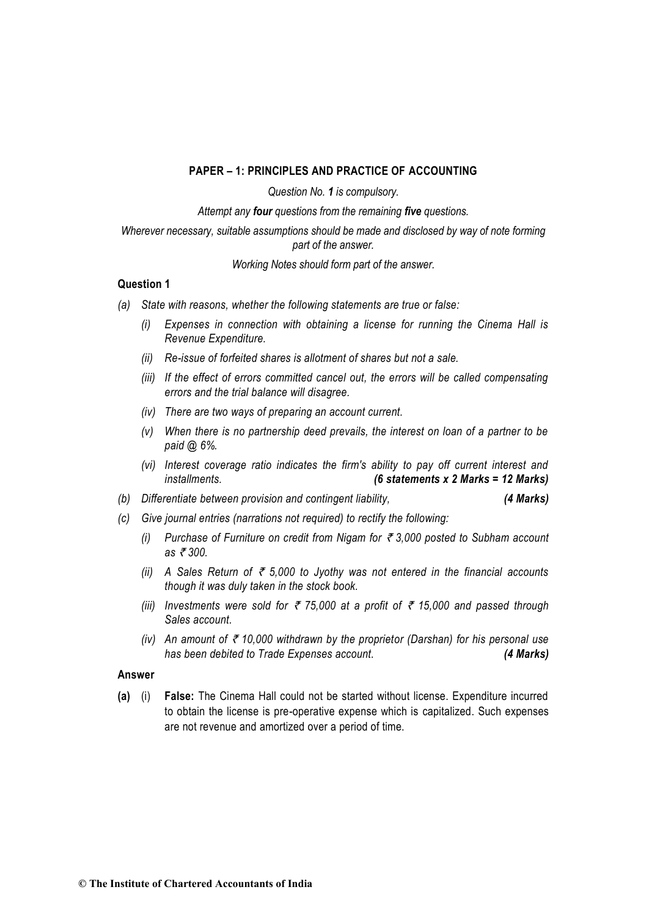## **PAPER – 1: PRINCIPLES AND PRACTICE OF ACCOUNTING**

*Question No. 1 is compulsory.*

*Attempt any four questions from the remaining five questions.*

## *Wherever necessary, suitable assumptions should be made and disclosed by way of note forming part of the answer.*

*Working Notes should form part of the answer.*

## **Question 1**

- *(a) State with reasons, whether the following statements are true or false:* 
	- *(i) Expenses in connection with obtaining a license for running the Cinema Hall is Revenue Expenditure.*
	- *(ii) Re-issue of forfeited shares is allotment of shares but not a sale.*
	- *(iii) If the effect of errors committed cancel out, the errors will be called compensating errors and the trial balance will disagree.*
	- *(iv) There are two ways of preparing an account current.*
	- *(v) When there is no partnership deed prevails, the interest on loan of a partner to be paid @ 6%.*
	- *(vi) Interest coverage ratio indicates the firm's ability to pay off current interest and installments. (6 statements x 2 Marks = 12 Marks)*
- *(b) Differentiate between provision and contingent liability, (4 Marks)*
- *(c) Give journal entries (narrations not required) to rectify the following:* 
	- *(i)* Purchase of Furniture on credit from Nigam for  $\bar{\epsilon}$  3,000 posted to Subham account *as ₹300.*
	- *(ii)* A Sales Return of  $\bar{\tau}$  5,000 to Jyothy was not entered in the financial accounts *though it was duly taken in the stock book.*
	- *(iii)* Investments were sold for  $\bar{\tau}$  75,000 at a profit of  $\bar{\tau}$  15,000 and passed through *Sales account.*
	- *(iv)* An amount of  $\bar{\tau}$  10,000 withdrawn by the proprietor (Darshan) for his personal use *has been debited to Trade Expenses account. (4 Marks)*

### **Answer**

**(a)** (i) **False:** The Cinema Hall could not be started without license. Expenditure incurred to obtain the license is pre-operative expense which is capitalized. Such expenses are not revenue and amortized over a period of time.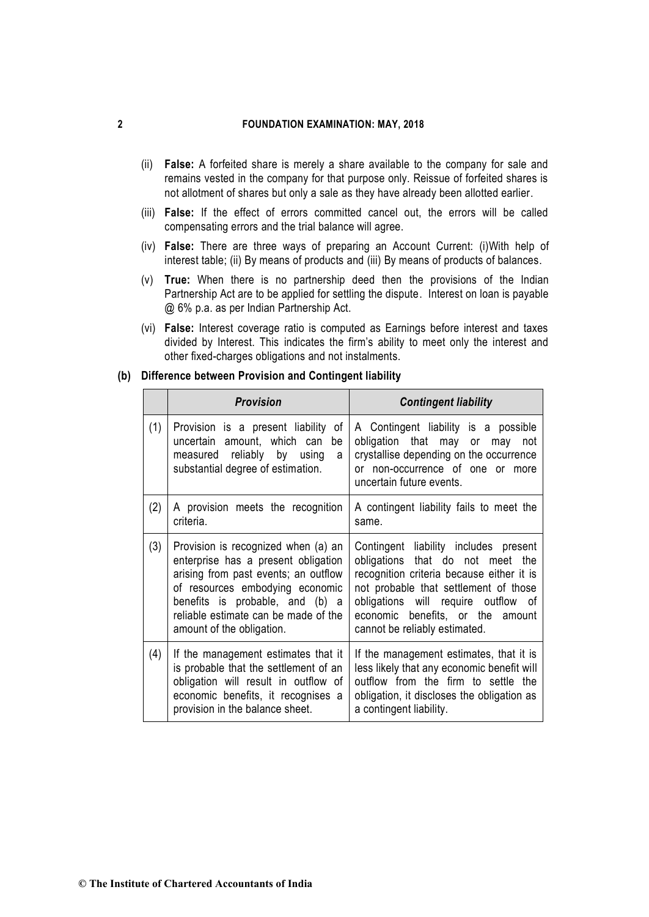- (ii) **False:** A forfeited share is merely a share available to the company for sale and remains vested in the company for that purpose only. Reissue of forfeited shares is not allotment of shares but only a sale as they have already been allotted earlier.
- (iii) **False:** If the effect of errors committed cancel out, the errors will be called compensating errors and the trial balance will agree.
- (iv) **False:** There are three ways of preparing an Account Current: (i)With help of interest table; (ii) By means of products and (iii) By means of products of balances.
- (v) **True:** When there is no partnership deed then the provisions of the Indian Partnership Act are to be applied for settling the dispute. Interest on loan is payable @ 6% p.a. as per Indian Partnership Act.
- (vi) **False:** Interest coverage ratio is computed as Earnings before interest and taxes divided by Interest. This indicates the firm's ability to meet only the interest and other fixed-charges obligations and not instalments.

|     | <b>Provision</b>                                                                                                                                                                                                                                              | <b>Contingent liability</b>                                                                                                                                                                                                                                                 |
|-----|---------------------------------------------------------------------------------------------------------------------------------------------------------------------------------------------------------------------------------------------------------------|-----------------------------------------------------------------------------------------------------------------------------------------------------------------------------------------------------------------------------------------------------------------------------|
| (1) | Provision is a present liability of<br>uncertain amount, which can<br>be<br>measured reliably by using<br>a<br>substantial degree of estimation.                                                                                                              | A Contingent liability is a possible<br>obligation that may or may<br>not<br>crystallise depending on the occurrence<br>or non-occurrence of one or more<br>uncertain future events.                                                                                        |
| (2) | A provision meets the recognition<br>criteria.                                                                                                                                                                                                                | A contingent liability fails to meet the<br>same.                                                                                                                                                                                                                           |
| (3) | Provision is recognized when (a) an<br>enterprise has a present obligation<br>arising from past events; an outflow<br>of resources embodying economic<br>benefits is probable, and (b) a<br>reliable estimate can be made of the<br>amount of the obligation. | Contingent liability includes present<br>obligations that do not meet the<br>recognition criteria because either it is<br>not probable that settlement of those<br>obligations will require outflow of<br>economic benefits, or the amount<br>cannot be reliably estimated. |
| (4) | If the management estimates that it<br>is probable that the settlement of an<br>obligation will result in outflow of<br>economic benefits, it recognises a<br>provision in the balance sheet.                                                                 | If the management estimates, that it is<br>less likely that any economic benefit will<br>outflow from the firm to settle the<br>obligation, it discloses the obligation as<br>a contingent liability.                                                                       |

#### **(b) Difference between Provision and Contingent liability**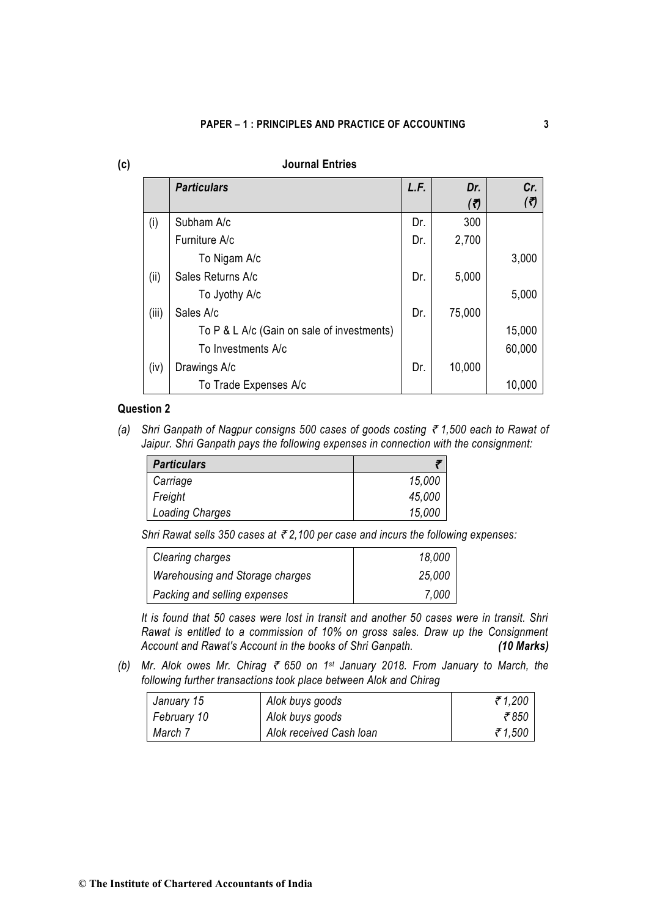| (c) |       | <b>Journal Entries</b>                     |      |            |            |
|-----|-------|--------------------------------------------|------|------------|------------|
|     |       | <b>Particulars</b>                         | L.F. | Dr.<br>(7) | Cr.<br>(₹) |
|     | (i)   | Subham A/c                                 | Dr.  | 300        |            |
|     |       | Furniture A/c                              | Dr.  | 2,700      |            |
|     |       | To Nigam A/c                               |      |            | 3,000      |
|     | (ii)  | Sales Returns A/c                          | Dr.  | 5,000      |            |
|     |       | To Jyothy A/c                              |      |            | 5,000      |
|     | (iii) | Sales A/c                                  | Dr.  | 75,000     |            |
|     |       | To P & L A/c (Gain on sale of investments) |      |            | 15,000     |
|     |       | To Investments A/c                         |      |            | 60,000     |
|     | (iv)  | Drawings A/c                               | Dr.  | 10,000     |            |
|     |       | To Trade Expenses A/c                      |      |            | 10,000     |

## **Question 2**

*(a) Shri Ganpath of Nagpur consigns 500 cases of goods costing* ` *1,500 each to Rawat of Jaipur. Shri Ganpath pays the following expenses in connection with the consignment:* 

| <b>Particulars</b> |        |
|--------------------|--------|
| Carriage           | 15,000 |
| Freight            | 45,000 |
| Loading Charges    | 15,000 |

*Shri Rawat sells 350 cases at* ` *2,100 per case and incurs the following expenses:*

| Clearing charges                | 18,000 |
|---------------------------------|--------|
| Warehousing and Storage charges | 25,000 |
| Packing and selling expenses    | 7,000  |

*It is found that 50 cases were lost in transit and another 50 cases were in transit. Shri Rawat is entitled to a commission of 10% on gross sales. Draw up the Consignment Account and Rawat's Account in the books of Shri Ganpath. (10 Marks)*

*(b) Mr. Alok owes Mr. Chirag* ` *650 on 1st January 2018. From January to March, the following further transactions took place between Alok and Chirag* 

| January 15  | Alok buys goods         | 71,200 |
|-------------|-------------------------|--------|
| February 10 | Alok buys goods         | ₹850   |
| March 7     | Alok received Cash Ioan | 71,500 |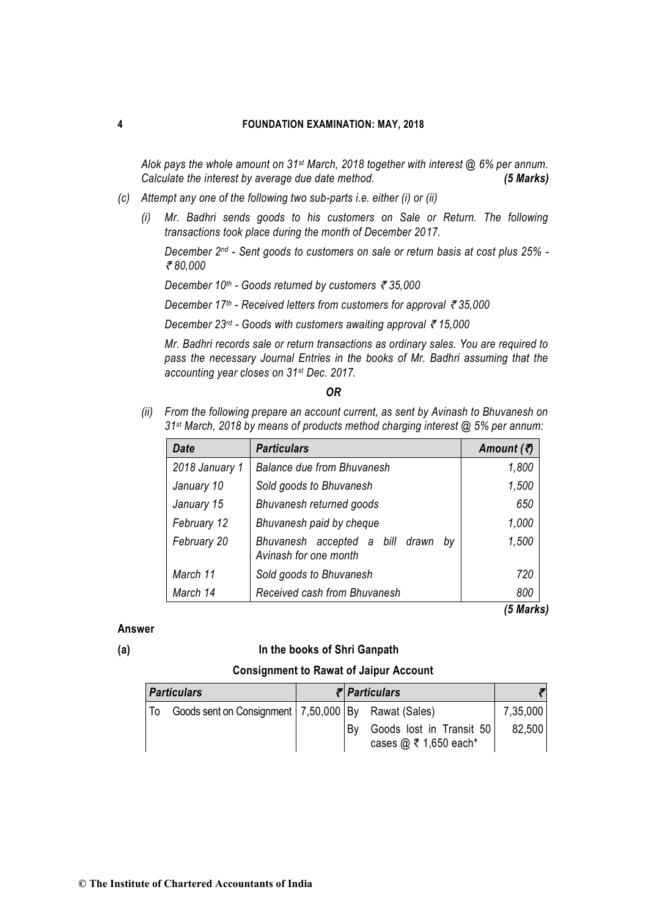*Alok pays the whole amount on 31st March, 2018 together with interest @ 6% per annum. Calculate the interest by average due date method. (5 Marks)*

- *(c) Attempt any one of the following two sub-parts i.e. either (i) or (ii)* 
	- *(i) Mr. Badhri sends goods to his customers on Sale or Return. The following transactions took place during the month of December 2017.*

*December 2nd - Sent goods to customers on sale or return basis at cost plus 25% -* ` *80,000* 

*December 10th - Goods returned by customers* ` *35,000* 

*December 17<sup>th</sup> - Received letters from customers for approval ₹ 35,000* 

*December 23<sup>rd</sup> - Goods with customers awaiting approval ₹15,000* 

*Mr. Badhri records sale or return transactions as ordinary sales. You are required to pass the necessary Journal Entries in the books of Mr. Badhri assuming that the accounting year closes on 31st Dec. 2017.* 

#### *OR*

*(ii) From the following prepare an account current, as sent by Avinash to Bhuvanesh on 31st March, 2018 by means of products method charging interest @ 5% per annum:* 

| <b>Date</b>    | <b>Particulars</b>                                             | Amount $(\vec{z})$ |
|----------------|----------------------------------------------------------------|--------------------|
| 2018 January 1 | <b>Balance due from Bhuvanesh</b>                              | 1,800              |
| January 10     | Sold goods to Bhuvanesh                                        | 1,500              |
| January 15     | Bhuvanesh returned goods                                       | 650                |
| February 12    | Bhuvanesh paid by cheque                                       | 1,000              |
| February 20    | Bhuvanesh accepted a bill drawn<br>bv<br>Avinash for one month | 1,500              |
| March 11       | Sold goods to Bhuvanesh                                        | 720                |
| March 14       | Received cash from Bhuvanesh                                   | 800                |

*(5 Marks)*

## **Answer**

#### **(a) In the books of Shri Ganpath**

#### **Consignment to Rawat of Jaipur Account**

| <b>Particulars</b> |  |                                                       | $\bar{\tau}$ Particulars |                                                              |          |
|--------------------|--|-------------------------------------------------------|--------------------------|--------------------------------------------------------------|----------|
|                    |  | Goods sent on Consignment   7,50,000 By Rawat (Sales) |                          |                                                              | 7,35,000 |
|                    |  |                                                       | Bv                       | Goods lost in Transit 50<br>cases $@ \bar{\tau} 1,650$ each* | 82.500   |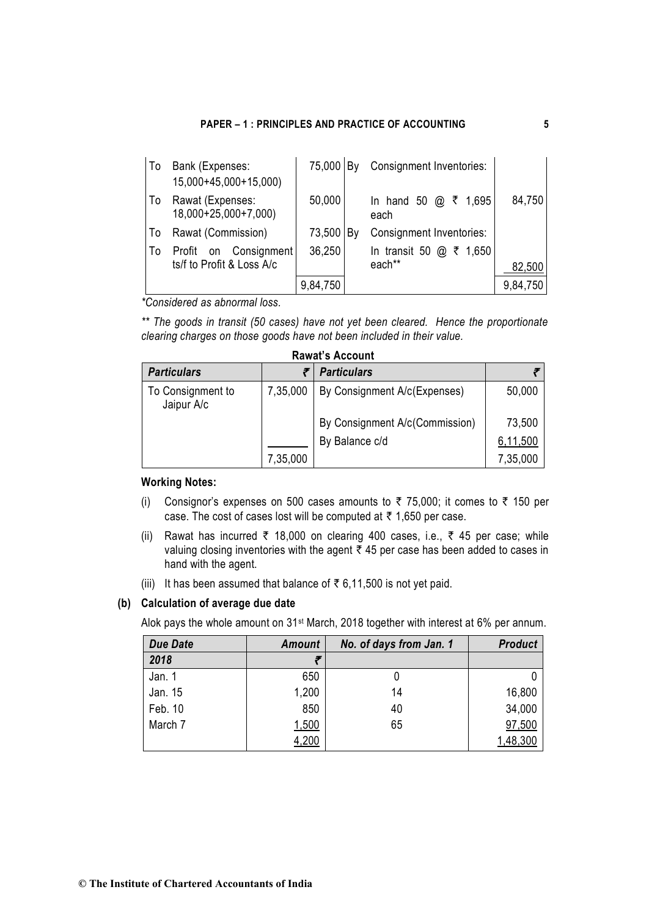## **PAPER – 1 : PRINCIPLES AND PRACTICE OF ACCOUNTING 5**

| To | Bank (Expenses:<br>15,000+45,000+15,000) | 75,000   By |    | Consignment Inventories:  |          |
|----|------------------------------------------|-------------|----|---------------------------|----------|
| To | Rawat (Expenses:<br>18,000+25,000+7,000) | 50,000      |    | ₹<br>1,695<br>each        | 84,750   |
| To | Rawat (Commission)                       | 73,500      | B٧ | Consignment Inventories:  |          |
| To | Profit on Consignment                    | 36,250      |    | In transit 50 $@$ ₹ 1,650 |          |
|    | ts/f to Profit & Loss A/c                |             |    | each**                    | 82,500   |
|    |                                          | 9,84,750    |    |                           | 9,84,750 |

*\*Considered as abnormal loss.* 

*\*\* The goods in transit (50 cases) have not yet been cleared. Hence the proportionate clearing charges on those goods have not been included in their value.*

| <b>Rawat's Account</b>          |          |                                |          |  |  |  |  |
|---------------------------------|----------|--------------------------------|----------|--|--|--|--|
| <b>Particulars</b>              |          | <b>Particulars</b>             |          |  |  |  |  |
| To Consignment to<br>Jaipur A/c | 7,35,000 | By Consignment A/c(Expenses)   | 50,000   |  |  |  |  |
|                                 |          | By Consignment A/c(Commission) | 73,500   |  |  |  |  |
|                                 |          | By Balance c/d                 | 6,11,500 |  |  |  |  |
|                                 | 7,35,000 |                                | 7,35,000 |  |  |  |  |

## **Working Notes:**

- (i) Consignor's expenses on 500 cases amounts to  $\bar{\tau}$  75,000; it comes to  $\bar{\tau}$  150 per case. The cost of cases lost will be computed at  $\bar{\tau}$  1,650 per case.
- (ii) Rawat has incurred  $\bar{\tau}$  18,000 on clearing 400 cases, i.e.,  $\bar{\tau}$  45 per case; while valuing closing inventories with the agent  $\bar{z}$  45 per case has been added to cases in hand with the agent.
- (iii) It has been assumed that balance of  $\bar{\tau}$  6,11,500 is not yet paid.

# **(b) Calculation of average due date**

Alok pays the whole amount on 31st March, 2018 together with interest at 6% per annum.

| <b>Due Date</b><br>Amount |       | No. of days from Jan. 1 | <b>Product</b> |  |
|---------------------------|-------|-------------------------|----------------|--|
| 2018                      |       |                         |                |  |
| Jan. 1                    | 650   |                         |                |  |
| Jan. 15                   | 1,200 | 14                      | 16,800         |  |
| Feb. 10                   | 850   | 40                      | 34,000         |  |
| March 7                   | 1,500 | 65                      | 97,500         |  |
|                           | 4,200 |                         | 1,48,300       |  |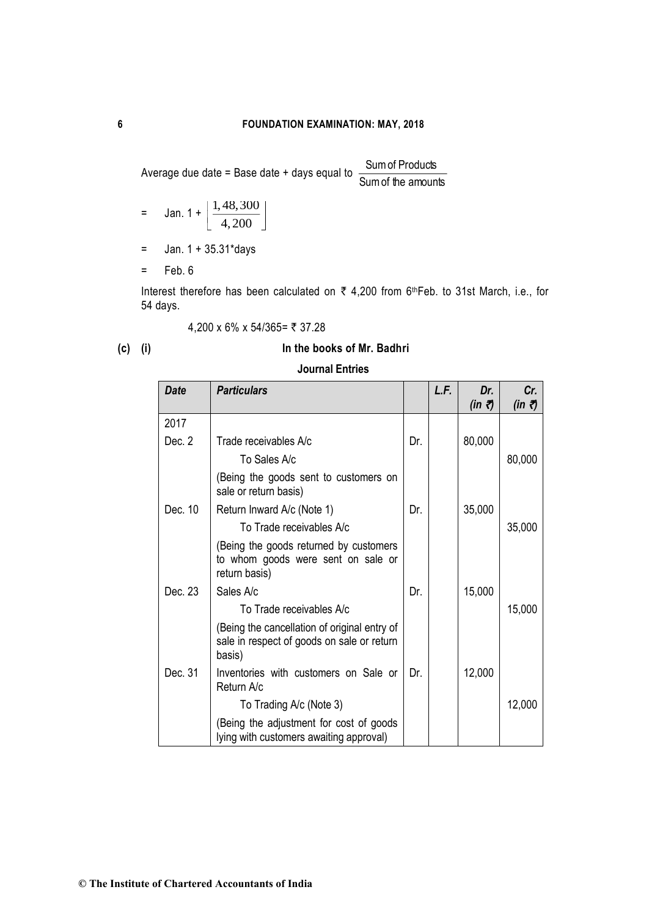Average due date = Base date + days equal to  $\frac{1}{\text{Sum of the amounts}}$ Sumof Products

= Jan. 
$$
1 + \left[ \frac{1,48,300}{4,200} \right]
$$

- $=$  Jan. 1 + 35.31\*days
- $=$  Feb. 6

Interest therefore has been calculated on  $\bar{\tau}$  4,200 from 6<sup>th</sup>Feb. to 31st March, i.e., for 54 days.

$$
4,200 \times 6\% \times 54/365 = ₹ 37.28
$$

# **(c) (i) In the books of Mr. Badhri**

# **Journal Entries**

| <b>Date</b> | <b>Particulars</b>                                                                                   |     | L.F. | Dr.<br>(in 7) | Cr.<br>(in ₹) |
|-------------|------------------------------------------------------------------------------------------------------|-----|------|---------------|---------------|
| 2017        |                                                                                                      |     |      |               |               |
| Dec. 2      | Trade receivables A/c                                                                                | Dr. |      | 80,000        |               |
|             | To Sales A/c                                                                                         |     |      |               | 80,000        |
|             | (Being the goods sent to customers on<br>sale or return basis)                                       |     |      |               |               |
| Dec. 10     | Return Inward A/c (Note 1)                                                                           | Dr. |      | 35,000        |               |
|             | To Trade receivables A/c                                                                             |     |      |               | 35,000        |
|             | (Being the goods returned by customers<br>to whom goods were sent on sale or<br>return basis)        |     |      |               |               |
| Dec. 23     | Sales A/c                                                                                            | Dr. |      | 15,000        |               |
|             | To Trade receivables A/c                                                                             |     |      |               | 15,000        |
|             | (Being the cancellation of original entry of<br>sale in respect of goods on sale or return<br>basis) |     |      |               |               |
| Dec. 31     | Inventories with customers on Sale or<br>Return A/c                                                  | Dr. |      | 12,000        |               |
|             | To Trading A/c (Note 3)                                                                              |     |      |               | 12,000        |
|             | (Being the adjustment for cost of goods<br>lying with customers awaiting approval)                   |     |      |               |               |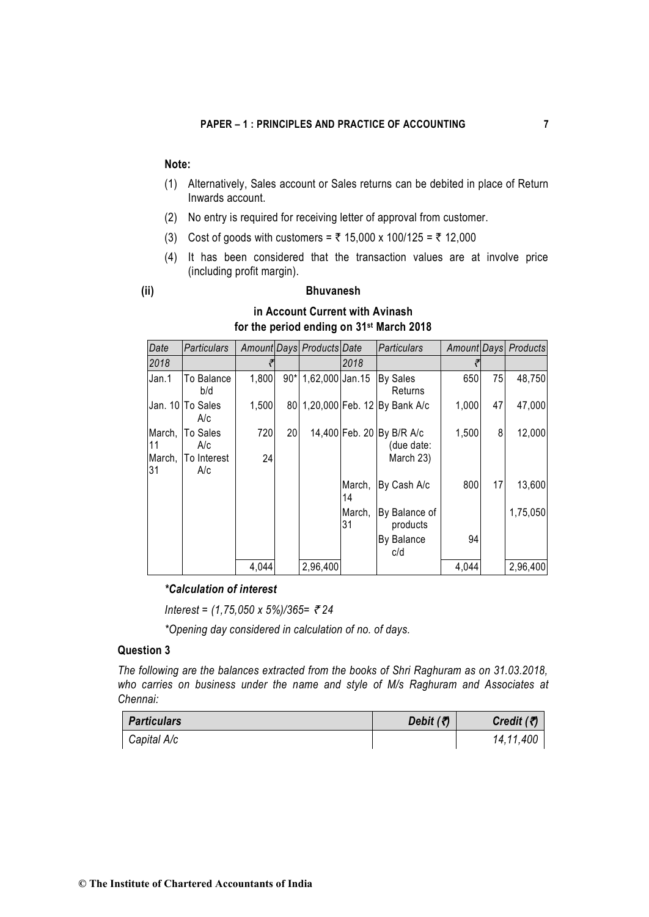# **Note:**

- (1) Alternatively, Sales account or Sales returns can be debited in place of Return Inwards account.
- (2) No entry is required for receiving letter of approval from customer.
- (3) Cost of goods with customers =  $\bar{\tau}$  15,000 x 100/125 =  $\bar{\tau}$  12,000
- (4) It has been considered that the transaction values are at involve price (including profit margin).

## **(ii) Bhuvanesh**

| Date                    | <b>Particulars</b>                    |           |       | Amount Days Products Date |              | <b>Particulars</b>                                   |       |    | Amount Days Products |
|-------------------------|---------------------------------------|-----------|-------|---------------------------|--------------|------------------------------------------------------|-------|----|----------------------|
| 2018                    |                                       |           |       |                           | 2018         |                                                      |       |    |                      |
| Jan.1                   | To Balance<br>b/d                     | 1,800     | $90*$ | 1,62,000 Jan.15           |              | <b>By Sales</b><br>Returns                           | 650   | 75 | 48,750               |
|                         | Jan. 10 To Sales<br>A/c               | 1,500     |       |                           |              | 80 1,20,000 Feb. 12 By Bank A/c                      | 1,000 | 47 | 47,000               |
| March,<br>l11<br>March, | <b>To Sales</b><br>A/c<br>To Interest | 720<br>24 | 20    |                           |              | 14,400 Feb. 20 By B/R A/c<br>(due date:<br>March 23) | 1,500 | 8  | 12,000               |
| 31                      | A/c                                   |           |       |                           | March,<br>14 | By Cash A/c                                          | 800   | 17 | 13,600               |
|                         |                                       |           |       |                           | March,<br>31 | By Balance of<br>products                            |       |    | 1,75,050             |
|                         |                                       |           |       |                           |              | By Balance<br>c/d                                    | 94    |    |                      |
|                         |                                       | 4,044     |       | 2,96,400                  |              |                                                      | 4,044 |    | 2,96,400             |

# **in Account Current with Avinash for the period ending on 31st March 2018**

## *\*Calculation of interest*

*Interest = (1,75,050 x 5%)/365=* ` *24*

*\*Opening day considered in calculation of no. of days.*

# **Question 3**

*The following are the balances extracted from the books of Shri Raghuram as on 31.03.2018, who carries on business under the name and style of M/s Raghuram and Associates at Chennai:*

| <b>Particulars</b> | Debit $(3)$ | Credit $(7)$ |
|--------------------|-------------|--------------|
| Capital A/c        |             | 14,11,400    |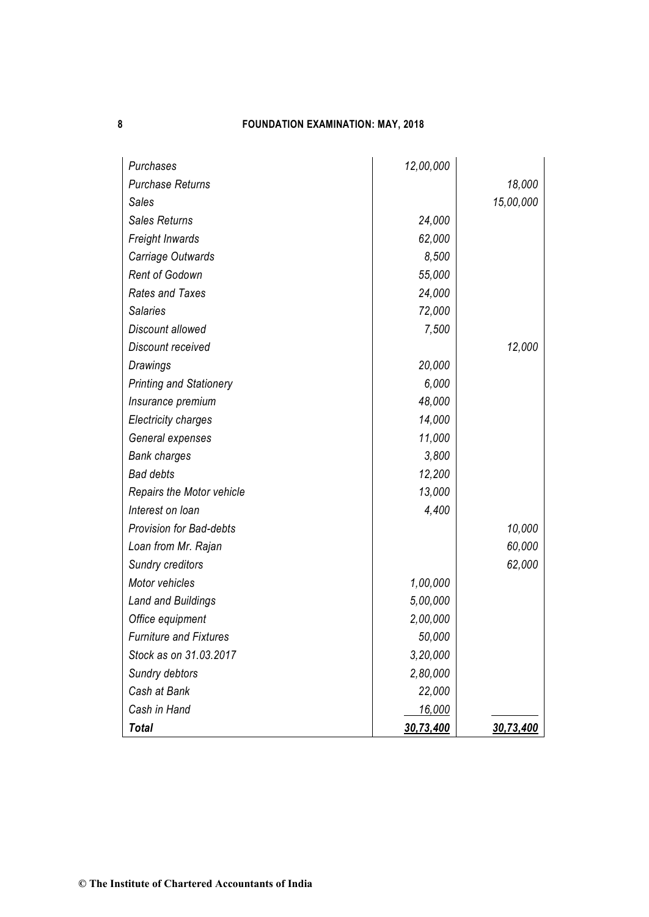| Purchases                        | 12,00,000 |           |
|----------------------------------|-----------|-----------|
| <b>Purchase Returns</b>          |           | 18,000    |
| <b>Sales</b>                     |           | 15,00,000 |
| <b>Sales Returns</b>             | 24,000    |           |
| Freight Inwards                  | 62,000    |           |
| Carriage Outwards                | 8,500     |           |
| <b>Rent of Godown</b>            | 55,000    |           |
| <b>Rates and Taxes</b>           | 24,000    |           |
| <b>Salaries</b>                  | 72,000    |           |
| Discount allowed                 | 7,500     |           |
| Discount received                |           | 12,000    |
| Drawings                         | 20,000    |           |
| <b>Printing and Stationery</b>   | 6,000     |           |
| Insurance premium                | 48,000    |           |
| <b>Electricity charges</b>       | 14,000    |           |
| General expenses                 | 11,000    |           |
| <b>Bank charges</b>              | 3,800     |           |
| <b>Bad debts</b>                 | 12,200    |           |
| <b>Repairs the Motor vehicle</b> | 13,000    |           |
| Interest on loan                 | 4,400     |           |
| <b>Provision for Bad-debts</b>   |           | 10,000    |
| Loan from Mr. Rajan              |           | 60,000    |
| <b>Sundry creditors</b>          |           | 62,000    |
| Motor vehicles                   | 1,00,000  |           |
| <b>Land and Buildings</b>        | 5,00,000  |           |
| Office equipment                 | 2,00,000  |           |
| <b>Furniture and Fixtures</b>    | 50,000    |           |
| Stock as on 31.03.2017           | 3,20,000  |           |
| Sundry debtors                   | 2,80,000  |           |
| Cash at Bank                     | 22,000    |           |
| Cash in Hand                     | 16,000    |           |
| <b>Total</b>                     | 30,73,400 | 30,73,400 |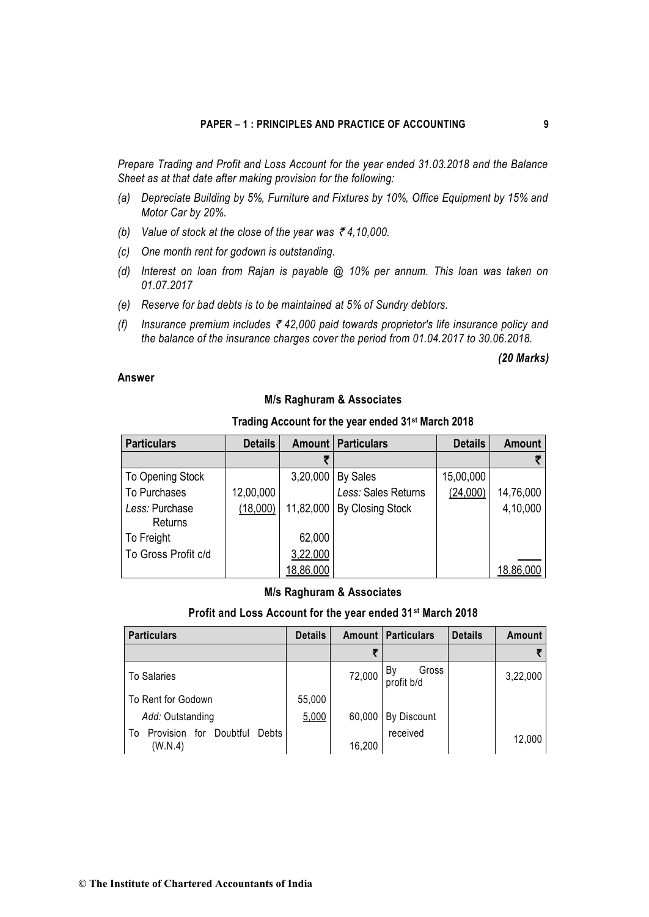*Prepare Trading and Profit and Loss Account for the year ended 31.03.2018 and the Balance Sheet as at that date after making provision for the following:* 

- *(a) Depreciate Building by 5%, Furniture and Fixtures by 10%, Office Equipment by 15% and Motor Car by 20%.*
- *(b)* Value of stock at the close of the year was  $\bar{\tau}$  4,10,000.
- *(c) One month rent for godown is outstanding.*
- *(d) Interest on loan from Rajan is payable @ 10% per annum. This loan was taken on 01.07.2017*
- *(e) Reserve for bad debts is to be maintained at 5% of Sundry debtors.*
- *(f) Insurance premium includes* ` *42,000 paid towards proprietor's life insurance policy and the balance of the insurance charges cover the period from 01.04.2017 to 30.06.2018.*

## *(20 Marks)*

## **Answer**

## **M/s Raghuram & Associates**

| <b>Particulars</b>        | <b>Details</b> |           | <b>Amount   Particulars</b> | <b>Details</b> | <b>Amount</b> |
|---------------------------|----------------|-----------|-----------------------------|----------------|---------------|
|                           |                |           |                             |                |               |
| To Opening Stock          |                | 3,20,000  | <b>By Sales</b>             | 15,00,000      |               |
| To Purchases              | 12,00,000      |           | Less: Sales Returns         | (24,000)       | 14,76,000     |
| Less: Purchase<br>Returns | (18,000)       | 11,82,000 | By Closing Stock            |                | 4,10,000      |
| To Freight                |                | 62,000    |                             |                |               |
| To Gross Profit c/d       |                | 3,22,000  |                             |                |               |
|                           |                | 18,86,000 |                             |                | 18,86,000     |

# **Trading Account for the year ended 31st March 2018**

#### **M/s Raghuram & Associates**

## **Profit and Loss Account for the year ended 31st March 2018**

| <b>Particulars</b>                                  | <b>Details</b> |        | <b>Amount Particulars</b> | <b>Details</b> | Amount   |
|-----------------------------------------------------|----------------|--------|---------------------------|----------------|----------|
|                                                     |                |        |                           |                |          |
| <b>To Salaries</b>                                  |                | 72,000 | Gross<br>By<br>profit b/d |                | 3,22,000 |
| To Rent for Godown                                  | 55,000         |        |                           |                |          |
| Add: Outstanding                                    | 5,000          | 60,000 | By Discount               |                |          |
| Provision for<br>Doubtful<br>Debts<br>To<br>(W.N.4) |                | 16,200 | received                  |                | 12,000   |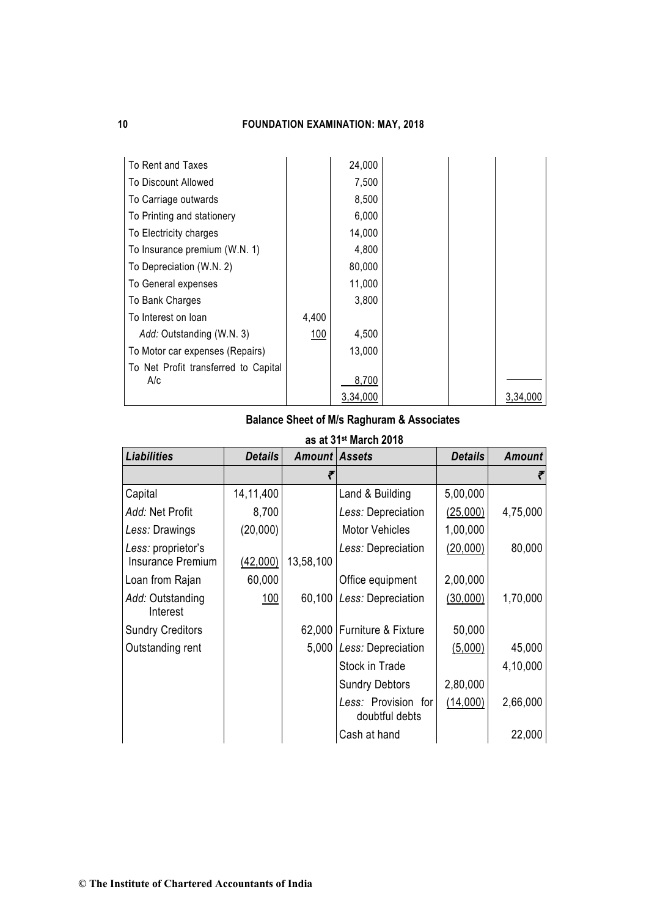| To Rent and Taxes                    |       | 24,000   |  |          |
|--------------------------------------|-------|----------|--|----------|
| To Discount Allowed                  |       | 7,500    |  |          |
| To Carriage outwards                 |       | 8,500    |  |          |
| To Printing and stationery           |       | 6,000    |  |          |
| To Electricity charges               |       | 14,000   |  |          |
| To Insurance premium (W.N. 1)        |       | 4,800    |  |          |
| To Depreciation (W.N. 2)             |       | 80,000   |  |          |
| To General expenses                  |       | 11,000   |  |          |
| To Bank Charges                      |       | 3,800    |  |          |
| To Interest on loan                  | 4,400 |          |  |          |
| Add: Outstanding (W.N. 3)            | 100   | 4,500    |  |          |
| To Motor car expenses (Repairs)      |       | 13,000   |  |          |
| To Net Profit transferred to Capital |       |          |  |          |
| A/c                                  |       | 8,700    |  |          |
|                                      |       | 3,34,000 |  | 3,34,000 |

## **Balance Sheet of M/s Raghuram & Associates**

|                                         |                |                      | as at 31 <sup>st</sup> March 2018     |                |               |
|-----------------------------------------|----------------|----------------------|---------------------------------------|----------------|---------------|
| <b>Liabilities</b>                      | <b>Details</b> | <b>Amount Assets</b> |                                       | <b>Details</b> | <b>Amount</b> |
|                                         |                |                      |                                       |                |               |
| Capital                                 | 14,11,400      |                      | Land & Building                       | 5,00,000       |               |
| Add: Net Profit                         | 8,700          |                      | Less: Depreciation                    | (25,000)       | 4,75,000      |
| Less: Drawings                          | (20,000)       |                      | <b>Motor Vehicles</b>                 | 1,00,000       |               |
| Less: proprietor's<br>Insurance Premium | (42,000)       | 13,58,100            | Less: Depreciation                    | (20,000)       | 80,000        |
| Loan from Rajan                         | 60,000         |                      | Office equipment                      | 2,00,000       |               |
| Add: Outstanding<br>Interest            | <u>100</u>     | 60,100               | Less: Depreciation                    | (30,000)       | 1,70,000      |
| <b>Sundry Creditors</b>                 |                |                      | 62,000   Furniture & Fixture          | 50,000         |               |
| Outstanding rent                        |                |                      | 5,000   Less: Depreciation            | (5,000)        | 45,000        |
|                                         |                |                      | Stock in Trade                        |                | 4,10,000      |
|                                         |                |                      | <b>Sundry Debtors</b>                 | 2,80,000       |               |
|                                         |                |                      | Less: Provision for<br>doubtful debts | (14,000)       | 2,66,000      |
|                                         |                |                      | Cash at hand                          |                | 22,000        |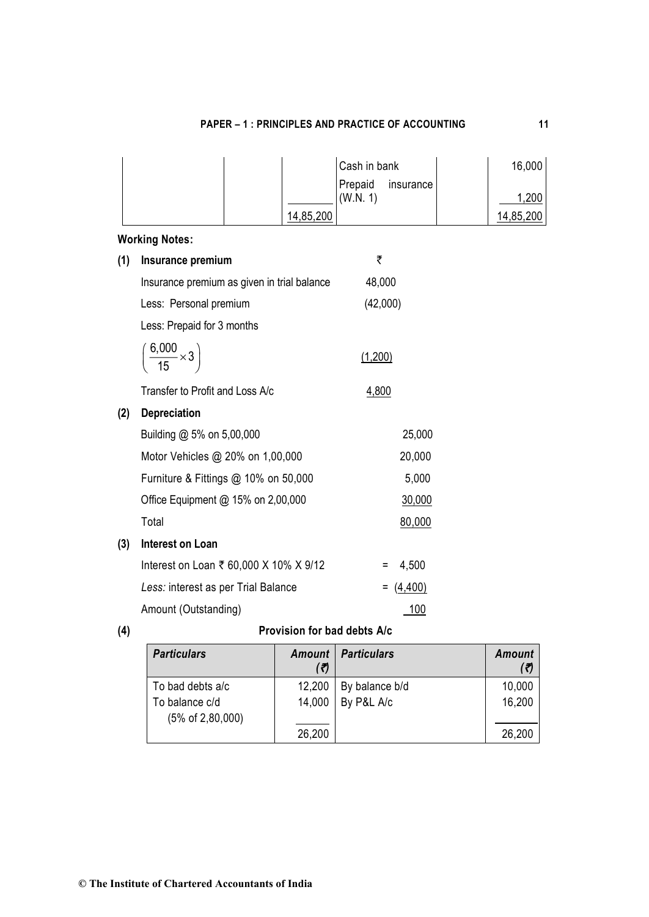# **PAPER – 1 : PRINCIPLES AND PRACTICE OF ACCOUNTING 11**

|              |                                             | Cash in bank<br>Prepaid<br>insurance | 16,000    |
|--------------|---------------------------------------------|--------------------------------------|-----------|
|              |                                             | (W.N. 1)                             | 1,200     |
|              | 14,85,200                                   |                                      | 14,85,200 |
|              | <b>Working Notes:</b>                       |                                      |           |
| (1)          | Insurance premium                           | ₹                                    |           |
|              | Insurance premium as given in trial balance | 48,000                               |           |
|              | Less: Personal premium                      | (42,000)                             |           |
|              | Less: Prepaid for 3 months                  |                                      |           |
|              | $\left(\frac{6,000}{15} \times 3\right)$    | (1,200)                              |           |
|              | Transfer to Profit and Loss A/c             | 4,800                                |           |
| (2)          | <b>Depreciation</b>                         |                                      |           |
|              | Building @ 5% on 5,00,000                   | 25,000                               |           |
|              | Motor Vehicles @ 20% on 1,00,000            | 20,000                               |           |
|              | Furniture & Fittings @ 10% on 50,000        | 5,000                                |           |
|              | Office Equipment @ 15% on 2,00,000          | 30,000                               |           |
|              | Total                                       | 80,000                               |           |
| (3)          | <b>Interest on Loan</b>                     |                                      |           |
|              | Interest on Loan ₹ 60,000 X 10% X 9/12      | 4,500<br>Ξ                           |           |
|              | Less: interest as per Trial Balance         | (4, 400)                             |           |
|              | Amount (Outstanding)                        | 100                                  |           |
| $\mathbf{A}$ | Duaista an faoilead dalcha                  |                                      |           |

**(4) Provision for bad debts A/c**

| <b>Particulars</b>                                                 | Amount<br>(₹)    | <b>Particulars</b>           | <b>Amount</b><br>(ৰ) |
|--------------------------------------------------------------------|------------------|------------------------------|----------------------|
| To bad debts a/c<br>To balance c/d<br>$(5\% \text{ of } 2,80,000)$ | 12,200<br>14,000 | By balance b/d<br>By P&L A/c | 10,000<br>16,200     |
|                                                                    | 26,200           |                              | 26,200               |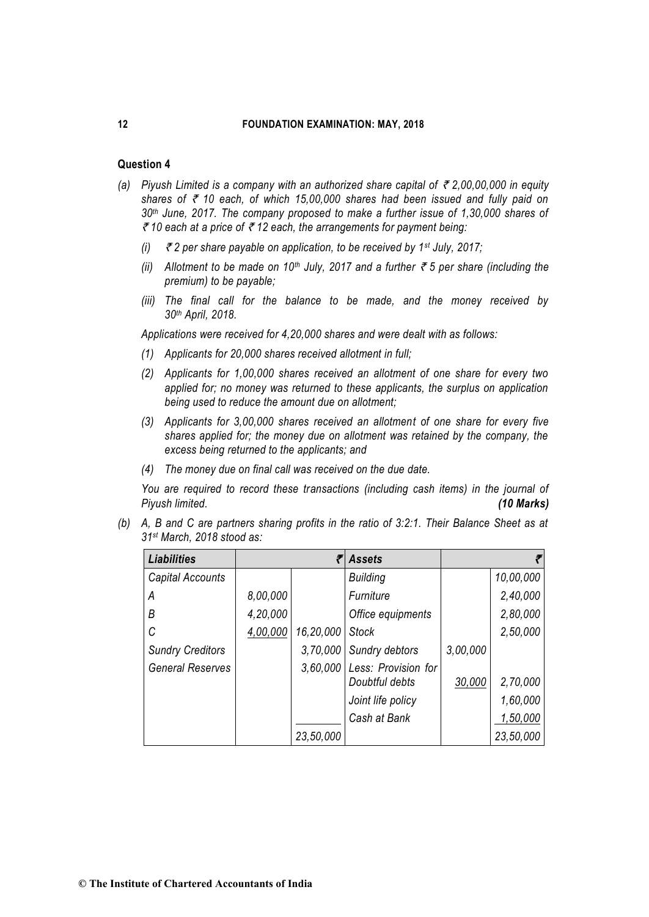## **Question 4**

- *(a)* Piyush Limited is a company with an authorized share capital of  $\bar{\tau}$  2,00,00,000 in equity shares of  $\bar{\tau}$  10 each, of which 15,00,000 shares had been issued and fully paid on *30th June, 2017. The company proposed to make a further issue of 1,30,000 shares of*  ` *10 each at a price of* ` *12 each, the arrangements for payment being:* 
	- *(i)* ` *2 per share payable on application, to be received by 1st July, 2017;*
	- *(ii) Allotment to be made on 10th July, 2017 and a further* ` *5 per share (including the premium) to be payable;*
	- *(iii) The final call for the balance to be made, and the money received by 30th April, 2018.*

*Applications were received for 4,20,000 shares and were dealt with as follows:* 

- *(1) Applicants for 20,000 shares received allotment in full;*
- *(2) Applicants for 1,00,000 shares received an allotment of one share for every two applied for; no money was returned to these applicants, the surplus on application being used to reduce the amount due on allotment;*
- *(3) Applicants for 3,00,000 shares received an allotment of one share for every five shares applied for; the money due on allotment was retained by the company, the excess being returned to the applicants; and*
- *(4) The money due on final call was received on the due date.*

*You are required to record these transactions (including cash items) in the journal of Piyush limited. (10 Marks)*

*(b) A, B and C are partners sharing profits in the ratio of 3:2:1. Their Balance Sheet as at 31st March, 2018 stood as:*

| <b>Liabilities</b>      |          |           | <b>Assets</b>                         |          |           |
|-------------------------|----------|-----------|---------------------------------------|----------|-----------|
| Capital Accounts        |          |           | <b>Building</b>                       |          | 10,00,000 |
| А                       | 8,00,000 |           | Furniture                             |          | 2,40,000  |
| В                       | 4,20,000 |           | Office equipments                     |          | 2,80,000  |
| C                       | 4,00,000 | 16,20,000 | <b>Stock</b>                          |          | 2,50,000  |
| <b>Sundry Creditors</b> |          | 3,70,000  | Sundry debtors                        | 3,00,000 |           |
| <b>General Reserves</b> |          | 3,60,000  | Less: Provision for<br>Doubtful debts | 30,000   | 2,70,000  |
|                         |          |           | Joint life policy                     |          | 1,60,000  |
|                         |          |           | Cash at Bank                          |          | 1,50,000  |
|                         |          | 23,50,000 |                                       |          | 23,50,000 |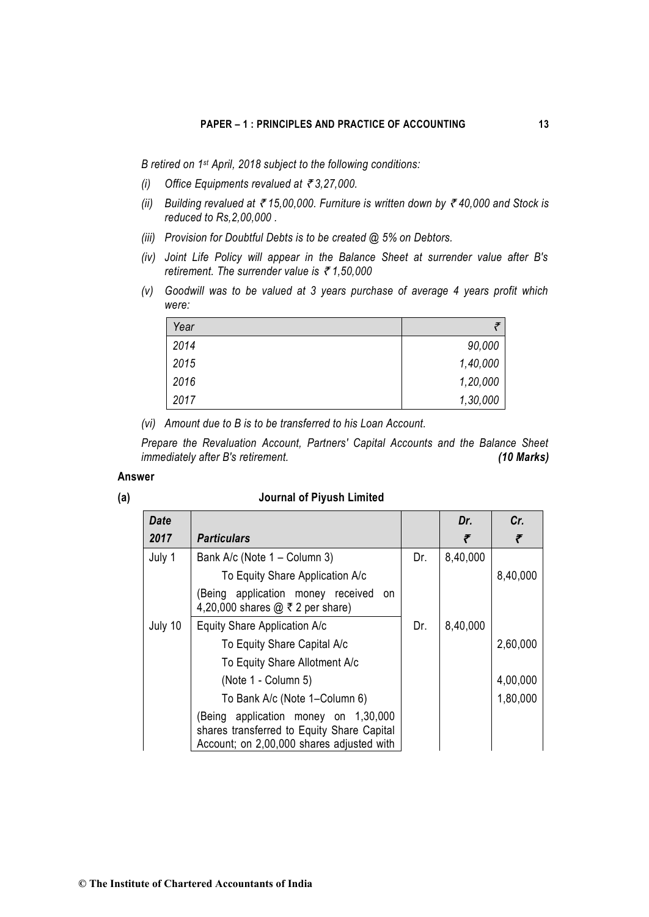*B retired on 1st April, 2018 subject to the following conditions:* 

- *(i)* Office Equipments revalued at ₹3,27,000.
- *(ii)* Building revalued at  $\bar{\tau}$  15,00,000. Furniture is written down by  $\bar{\tau}$  40,000 and Stock is *reduced to Rs,2,00,000 .*
- *(iii) Provision for Doubtful Debts is to be created @ 5% on Debtors.*
- *(iv) Joint Life Policy will appear in the Balance Sheet at surrender value after B's retirement. The surrender value is ₹1,50,000*
- *(v) Goodwill was to be valued at 3 years purchase of average 4 years profit which were:*

| Year |          |
|------|----------|
| 2014 | 90,000   |
| 2015 | 1,40,000 |
| 2016 | 1,20,000 |
| 2017 | 1,30,000 |

*(vi) Amount due to B is to be transferred to his Loan Account.* 

*Prepare the Revaluation Account, Partners' Capital Accounts and the Balance Sheet immediately after B's retirement. (10 Marks)*

## **Answer**

#### **(a) Journal of Piyush Limited**

| <b>Date</b> |                                                                                                                                 |     | Dr.      | Cr.      |
|-------------|---------------------------------------------------------------------------------------------------------------------------------|-----|----------|----------|
| 2017        | <b>Particulars</b>                                                                                                              |     | ₹        | ₹        |
| July 1      | Bank A/c (Note 1 - Column 3)                                                                                                    | Dr. | 8,40,000 |          |
|             | To Equity Share Application A/c                                                                                                 |     |          | 8,40,000 |
|             | (Being application money received<br>on<br>4,20,000 shares $@ \bar{\tau} 2$ per share)                                          |     |          |          |
| July 10     | Equity Share Application A/c                                                                                                    | Dr. | 8,40,000 |          |
|             | To Equity Share Capital A/c                                                                                                     |     |          | 2,60,000 |
|             | To Equity Share Allotment A/c                                                                                                   |     |          |          |
|             | (Note 1 - Column 5)                                                                                                             |     |          | 4,00,000 |
|             | To Bank A/c (Note 1-Column 6)                                                                                                   |     |          | 1,80,000 |
|             | (Being application money on 1,30,000<br>shares transferred to Equity Share Capital<br>Account; on 2,00,000 shares adjusted with |     |          |          |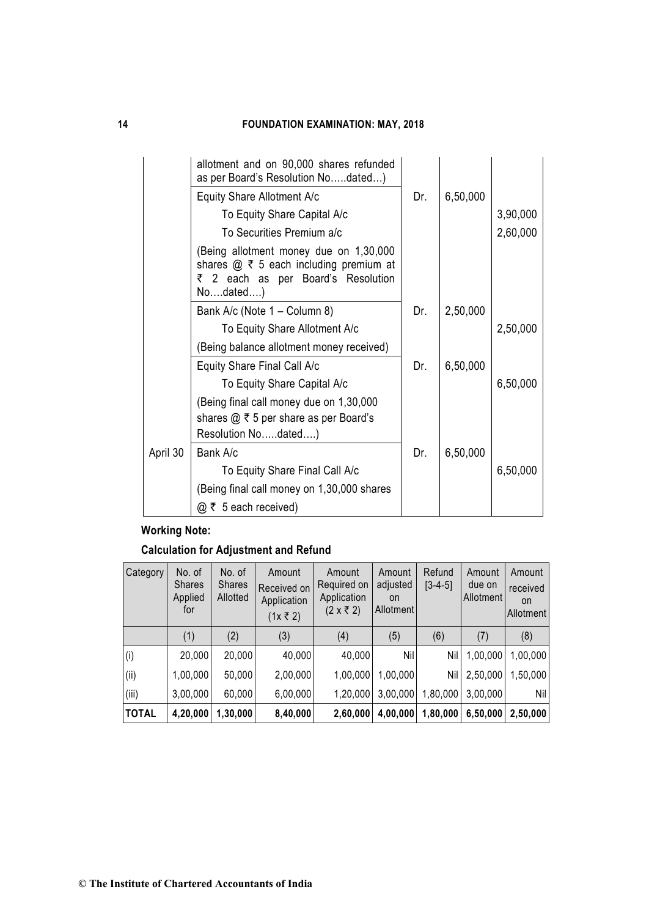|          | allotment and on 90,000 shares refunded<br>as per Board's Resolution Nodated)                                                                     |     |          |          |
|----------|---------------------------------------------------------------------------------------------------------------------------------------------------|-----|----------|----------|
|          | Equity Share Allotment A/c                                                                                                                        | Dr. | 6,50,000 |          |
|          | To Equity Share Capital A/c                                                                                                                       |     |          | 3,90,000 |
|          | To Securities Premium a/c                                                                                                                         |     |          | 2,60,000 |
|          | Being allotment money due on 1,30,000<br>shares $\omega \bar{\tau}$ 5 each including premium at<br>₹ 2 each as per Board's Resolution<br>Nodated) |     |          |          |
|          | Bank A/c (Note 1 – Column 8)                                                                                                                      | Dr. | 2,50,000 |          |
|          | To Equity Share Allotment A/c                                                                                                                     |     |          | 2,50,000 |
|          | (Being balance allotment money received)                                                                                                          |     |          |          |
|          | Equity Share Final Call A/c                                                                                                                       | Dr. | 6,50,000 |          |
|          | To Equity Share Capital A/c                                                                                                                       |     |          | 6,50,000 |
|          | (Being final call money due on 1,30,000<br>shares $@ \bar{\tau} 5$ per share as per Board's                                                       |     |          |          |
|          | Resolution Nodated)                                                                                                                               |     |          |          |
| April 30 | Bank A/c                                                                                                                                          | Dr. | 6,50,000 |          |
|          | To Equity Share Final Call A/c                                                                                                                    |     |          | 6,50,000 |
|          | (Being final call money on 1,30,000 shares                                                                                                        |     |          |          |
|          | $@ \; \bar{\mathcal{C}} \;$ 5 each received)                                                                                                      |     |          |          |

# **Working Note:**

**Calculation for Adjustment and Refund**

| Category     | No. of<br><b>Shares</b><br>Applied<br>for | No. of<br><b>Shares</b><br>Allotted | Amount<br>Received on<br>Application<br>(1x ₹ 2) | Amount<br>Required on<br>Application<br>$(2 \times ₹ 2)$ | Amount<br>adjusted<br>on<br>Allotment | Refund<br>$[3-4-5]$ | Amount<br>due on<br>Allotment | Amount<br>received<br>on<br><b>Allotment</b> |
|--------------|-------------------------------------------|-------------------------------------|--------------------------------------------------|----------------------------------------------------------|---------------------------------------|---------------------|-------------------------------|----------------------------------------------|
|              | (1)                                       | (2)                                 | (3)                                              | (4)                                                      | (5)                                   | (6)                 | (7)                           | (8)                                          |
| (i)          | 20,000                                    | 20,000                              | 40,000                                           | 40,000                                                   | Nil                                   | Nil                 | 1,00,000                      | 1,00,000                                     |
| (i)          | 1,00,000                                  | 50,000                              | 2,00,000                                         | 1,00,000                                                 | 1,00,000                              | Nil                 | 2,50,000                      | 1,50,000                                     |
| (iii)        | 3,00,000                                  | 60,000                              | 6,00,000                                         | 1,20,000                                                 | 3,00,000                              | 1,80,000            | 3,00,000                      | Nil                                          |
| <b>TOTAL</b> | 4,20,000                                  | 1,30,000                            | 8,40,000                                         | 2,60,000                                                 | 4,00,000                              | 1,80,000            | 6,50,000                      | 2,50,000                                     |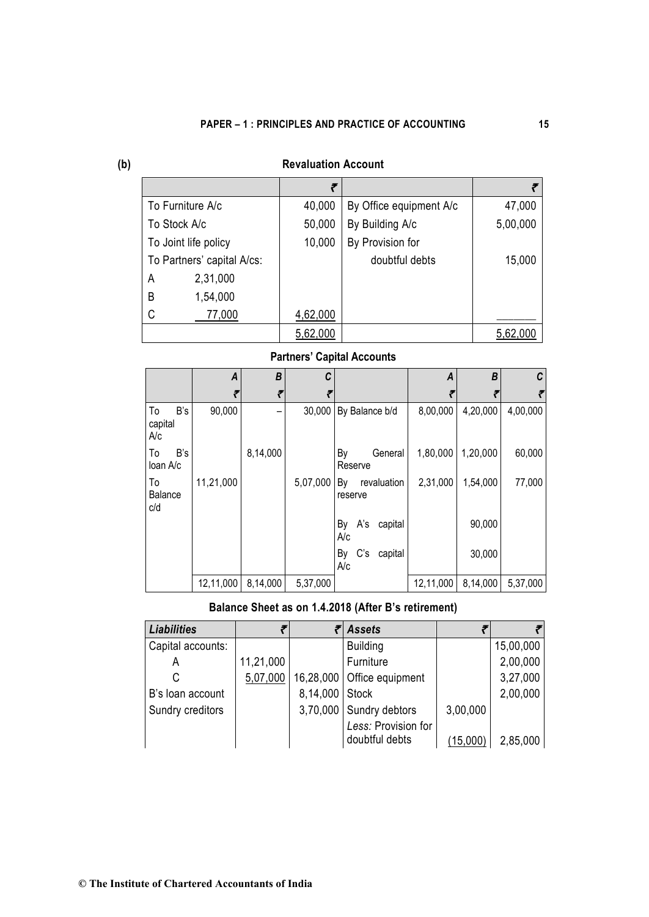| ٩            |
|--------------|
| I<br>I<br>۰. |

# **(b) Revaluation Account**

|                            | ₹        |                         |          |
|----------------------------|----------|-------------------------|----------|
| To Furniture A/c           | 40,000   | By Office equipment A/c | 47,000   |
| To Stock A/c               | 50,000   | By Building A/c         | 5,00,000 |
| To Joint life policy       | 10,000   | By Provision for        |          |
| To Partners' capital A/cs: |          | doubtful debts          | 15,000   |
| 2,31,000<br>A              |          |                         |          |
| B<br>1,54,000              |          |                         |          |
| C<br>77,000                | 4,62,000 |                         |          |
|                            | 5,62,000 |                         | 5.62.000 |

# **Partners' Capital Accounts**

|                             | A         | B        | C        |                              | A         | B        | C        |
|-----------------------------|-----------|----------|----------|------------------------------|-----------|----------|----------|
|                             |           |          |          |                              |           |          |          |
| B's<br>To<br>capital<br>A/c | 90,000    |          | 30,000   | By Balance b/d               | 8,00,000  | 4,20,000 | 4,00,000 |
| B's<br>To<br>loan A/c       |           | 8,14,000 |          | By<br>General<br>Reserve     | 1,80,000  | 1,20,000 | 60,000   |
| To<br>Balance<br>c/d        | 11,21,000 |          | 5,07,000 | revaluation<br>By<br>reserve | 2,31,000  | 1,54,000 | 77,000   |
|                             |           |          |          | A's<br>capital<br>By<br>A/c  |           | 90,000   |          |
|                             |           |          |          | C's<br>By<br>capital<br>A/c  |           | 30,000   |          |
|                             | 12,11,000 | 8,14,000 | 5,37,000 |                              | 12,11,000 | 8,14,000 | 5,37,000 |

# **Balance Sheet as on 1.4.2018 (After B's retirement)**

| <b>Liabilities</b> |           |                | <b>Assets</b>                |          |           |
|--------------------|-----------|----------------|------------------------------|----------|-----------|
| Capital accounts:  |           |                | <b>Building</b>              |          | 15,00,000 |
| Α                  | 11,21,000 |                | Furniture                    |          | 2,00,000  |
| C                  | 5,07,000  |                | 16,28,000   Office equipment |          | 3,27,000  |
| B's loan account   |           | 8,14,000 Stock |                              |          | 2,00,000  |
| Sundry creditors   |           |                | 3,70,000 Sundry debtors      | 3,00,000 |           |
|                    |           |                | Less: Provision for          |          |           |
|                    |           |                | doubtful debts               | (15,000) | 2,85,000  |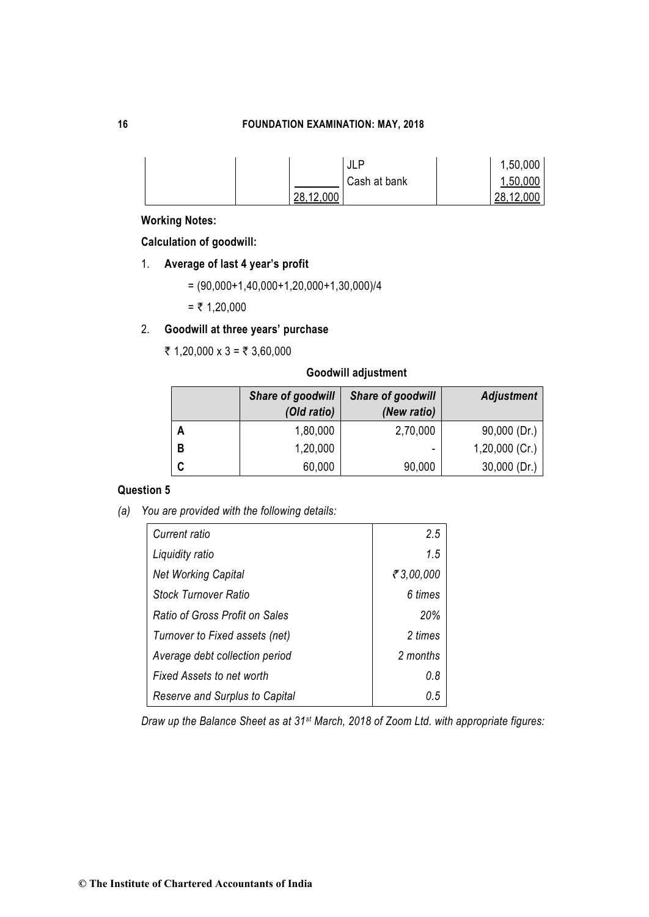|           | <b>JLP</b>   | 1,50,000  |
|-----------|--------------|-----------|
|           | Cash at bank | 1,50,000  |
| 28,12,000 |              | 28,12,000 |

**Working Notes:**

**Calculation of goodwill:**

- 1. **Average of last 4 year's profit** 
	- $= (90,000+1,40,000+1,20,000+1,30,000)/4$

 $=$  ₹ 1,20,000

# 2. **Goodwill at three years' purchase**

 $\overline{\tau}$  1,20,000 x 3 =  $\overline{\tau}$  3,60,000

## **Goodwill adjustment**

|   | Share of goodwill<br>(Old ratio) | Share of goodwill<br>(New ratio) | <b>Adjustment</b> |
|---|----------------------------------|----------------------------------|-------------------|
|   | 1,80,000                         | 2,70,000                         | $90,000$ (Dr.)    |
| B | 1,20,000                         | $\overline{\phantom{0}}$         | $1,20,000$ (Cr.)  |
|   | 60,000                           | 90,000                           | 30,000 (Dr.)      |

# **Question 5**

*(a) You are provided with the following details:* 

| Current ratio                         | 2.5          |
|---------------------------------------|--------------|
| Liquidity ratio                       | 1.5          |
| <b>Net Working Capital</b>            | ₹ $3,00,000$ |
| Stock Turnover Ratio                  | 6 times      |
| <b>Ratio of Gross Profit on Sales</b> | 20%          |
| Turnover to Fixed assets (net)        | 2 times      |
| Average debt collection period        | 2 months     |
| <b>Fixed Assets to net worth</b>      | 0.8          |
| Reserve and Surplus to Capital        | 0.5          |

*Draw up the Balance Sheet as at 31st March, 2018 of Zoom Ltd. with appropriate figures:*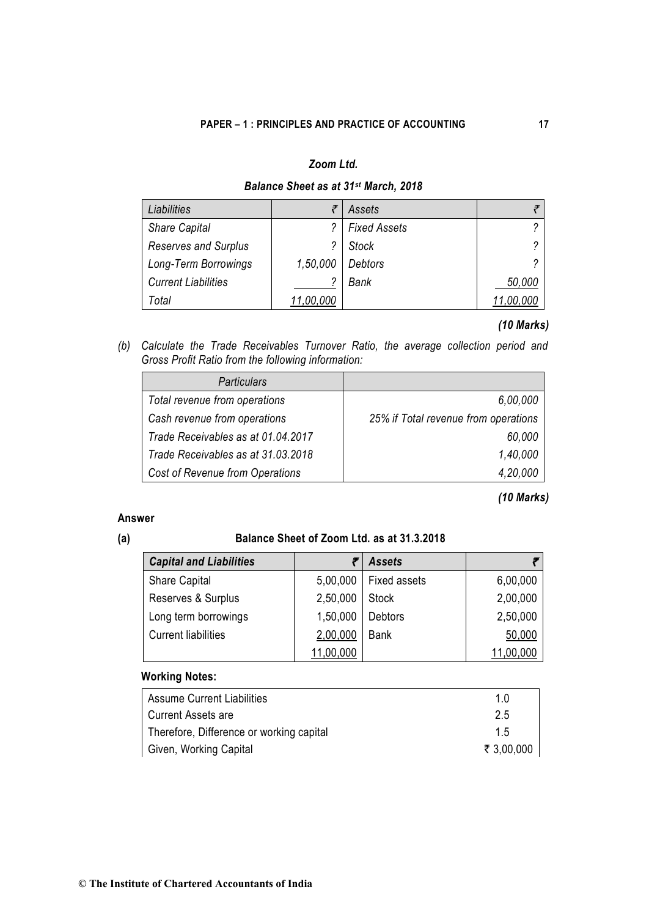# *Zoom Ltd.*

# *Balance Sheet as at 31st March, 2018*

| Liabilities                 |           | Assets              |        |
|-----------------------------|-----------|---------------------|--------|
| <b>Share Capital</b>        |           | <b>Fixed Assets</b> | ∩      |
| <b>Reserves and Surplus</b> | 2         | <b>Stock</b>        | 2      |
| Long-Term Borrowings        | 1,50,000  | Debtors             | 2      |
| <b>Current Liabilities</b>  |           | Bank                | 50,000 |
| Total                       | 11,00,000 |                     |        |

# *(10 Marks)*

*(b) Calculate the Trade Receivables Turnover Ratio, the average collection period and Gross Profit Ratio from the following information:* 

| <b>Particulars</b>                 |                                      |
|------------------------------------|--------------------------------------|
| Total revenue from operations      | 6,00,000                             |
| Cash revenue from operations       | 25% if Total revenue from operations |
| Trade Receivables as at 01.04.2017 | 60,000                               |
| Trade Receivables as at 31.03.2018 | 1,40,000                             |
| Cost of Revenue from Operations    | 4,20,000                             |

# *(10 Marks)*

## **Answer**

# **(a) Balance Sheet of Zoom Ltd. as at 31.3.2018**

| <b>Capital and Liabilities</b> |           | <b>Assets</b>       |           |
|--------------------------------|-----------|---------------------|-----------|
| Share Capital                  | 5,00,000  | <b>Fixed assets</b> | 6,00,000  |
| Reserves & Surplus             | 2,50,000  | <b>Stock</b>        | 2,00,000  |
| Long term borrowings           | 1,50,000  | <b>Debtors</b>      | 2,50,000  |
| <b>Current liabilities</b>     | 2,00,000  | <b>Bank</b>         | 50,000    |
|                                | 11,00,000 |                     | 11,00,000 |

# **Working Notes:**

| <b>Assume Current Liabilities</b>        | 1 0        |
|------------------------------------------|------------|
| <b>Current Assets are</b>                | 2.5        |
| Therefore, Difference or working capital | 1.5        |
| Given, Working Capital                   | ₹ 3,00,000 |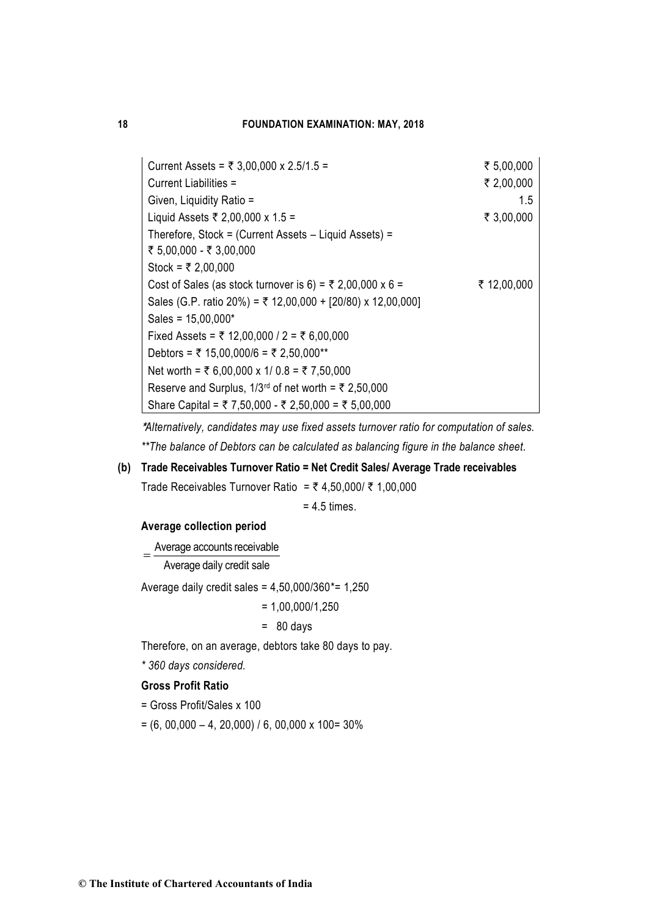| Current Assets = ₹ 3,00,000 x 2.5/1.5 =                     | ₹ 5,00,000  |
|-------------------------------------------------------------|-------------|
| Current Liabilities =                                       | ₹ 2,00,000  |
| Given, Liquidity Ratio =                                    | 1.5         |
| Liquid Assets ₹ 2,00,000 x 1.5 =                            | ₹ 3,00,000  |
| Therefore, Stock = (Current Assets - Liquid Assets) =       |             |
| ₹ 5,00,000 - ₹ 3,00,000                                     |             |
| Stock = ₹ 2,00,000                                          |             |
| Cost of Sales (as stock turnover is 6) = ₹ 2,00,000 x 6 =   | ₹ 12,00,000 |
| Sales (G.P. ratio 20%) = ₹ 12,00,000 + [20/80) x 12,00,000] |             |
| Sales = $15,00,000*$                                        |             |
| Fixed Assets = ₹ 12,00,000 / 2 = ₹ 6,00,000                 |             |
| Debtors = ₹ 15,00,000/6 = ₹ 2,50,000**                      |             |
| Net worth = ₹ 6,00,000 x 1/ 0.8 = ₹ 7,50,000                |             |
| Reserve and Surplus, $1/3^{rd}$ of net worth = ₹ 2,50,000   |             |
| Share Capital = ₹ 7,50,000 - ₹ 2,50,000 = ₹ 5,00,000        |             |

**\****Alternatively, candidates may use fixed assets turnover ratio for computation of sales. \*\*The balance of Debtors can be calculated as balancing figure in the balance sheet.*

# **(b) Trade Receivables Turnover Ratio = Net Credit Sales/ Average Trade receivables**

Trade Receivables Turnover Ratio =  $\bar{z}$  4,50,000/ ₹ 1,00,000

= 4.5 times.

## **Average collection period**

 $=$   $\frac{\text{Average accounts receivedble}}{}$ 

Average daily credit sale

Average daily credit sales =  $4,50,000/360 == 1,250$ 

 $= 1,00,000/1,250$ 

 $= 80$  days

Therefore, on an average, debtors take 80 days to pay.

*\* 360 days considered.* 

## **Gross Profit Ratio**

= Gross Profit/Sales x 100

 $= (6, 00,000 - 4, 20,000) / 6, 00,000 \times 100 = 30\%$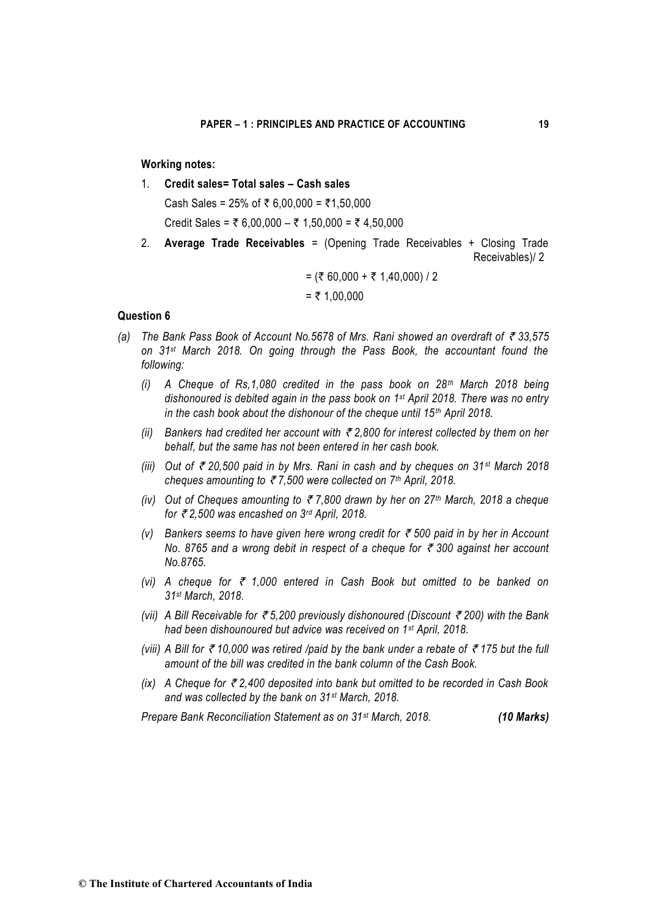## **Working notes:**

1. **Credit sales= Total sales – Cash sales**

Cash Sales = 25% of ₹ 6,00,000 = ₹1,50,000 Credit Sales =  $\overline{5}$  6,00,000 –  $\overline{5}$  1,50,000 =  $\overline{5}$  4,50,000

2. **Average Trade Receivables** = (Opening Trade Receivables + Closing Trade Receivables)/ 2

$$
= ( ₹ 60,000 + ₹ 1,40,000) / 2
$$
  
= ₹ 1,00,000

### **Question 6**

- *(a) The Bank Pass Book of Account No.5678 of Mrs. Rani showed an overdraft of* ` *33,575 on 31st March 2018. On going through the Pass Book, the accountant found the following:*
	- *(i) A Cheque of Rs,1,080 credited in the pass book on 28th March 2018 being dishonoured is debited again in the pass book on 1st April 2018. There was no entry in the cash book about the dishonour of the cheque until 15th April 2018.*
	- *(ii)* Bankers had credited her account with  $\bar{\tau}$  2,800 for interest collected by them on her *behalf, but the same has not been entered in her cash book.*
	- *(iii) Out of* ` *20,500 paid in by Mrs. Rani in cash and by cheques on 31st March 2018 cheques amounting to* ` *7,500 were collected on 7th April, 2018.*
	- *(iv) Out of Cheques amounting to* ` *7,800 drawn by her on 27th March, 2018 a cheque for* ` *2,500 was encashed on 3rd April, 2018.*
	- *(v)* Bankers seems to have given here wrong credit for  $\bar{\tau}$  500 paid in by her in Account *No. 8765 and a wrong debit in respect of a cheque for ₹ 300 against her account No.8765.*
	- *(vi)* A cheque for ₹ 1,000 entered in Cash Book but omitted to be banked on *31st March, 2018.*
	- *(vii)* A Bill Receivable for ₹5,200 previously dishonoured (Discount ₹200) with the Bank *had been dishounoured but advice was received on 1st April, 2018.*
	- *(viii)* A Bill for ₹10,000 was retired /paid by the bank under a rebate of ₹175 but the full *amount of the bill was credited in the bank column of the Cash Book.*
	- *(ix)* A Cheque for ₹2,400 deposited into bank but omitted to be recorded in Cash Book *and was collected by the bank on 31st March, 2018.*

*Prepare Bank Reconciliation Statement as on 31st March, 2018. (10 Marks)*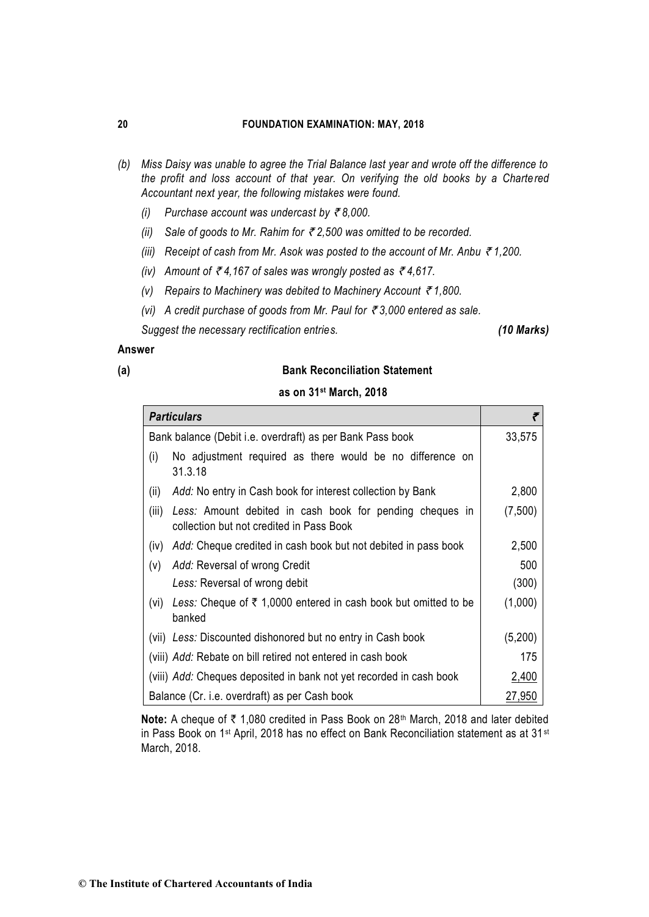- *(b) Miss Daisy was unable to agree the Trial Balance last year and wrote off the difference to the profit and loss account of that year. On verifying the old books by a Chartered Accountant next year, the following mistakes were found.*
	- *(i)* Purchase account was undercast by  $\bar{\tau}$ 8,000.
	- *(ii) Sale of goods to Mr. Rahim for* ` *2,500 was omitted to be recorded.*
	- *(iii) Receipt of cash from Mr. Asok was posted to the account of Mr. Anbu* ` *1,200.*
	- *(iv)* Amount of  $\bar{\tau}$  4,167 of sales was wrongly posted as  $\bar{\tau}$  4,617.
	- *(v) Repairs to Machinery was debited to Machinery Account* ` *1,800.*
	- *(vi) A credit purchase of goods from Mr. Paul for ₹3,000 entered as sale.*

*Suggest the necessary rectification entries. (10 Marks)*

## **Answer**

## **(a) Bank Reconciliation Statement**

|  |  |  | as on 31 <sup>st</sup> March, 2018 |  |
|--|--|--|------------------------------------|--|
|--|--|--|------------------------------------|--|

| <b>Particulars</b>                                                                                            |         |
|---------------------------------------------------------------------------------------------------------------|---------|
| Bank balance (Debit i.e. overdraft) as per Bank Pass book                                                     | 33,575  |
| No adjustment required as there would be no difference on<br>(i)<br>31.3.18                                   |         |
| Add: No entry in Cash book for interest collection by Bank<br>(ii)                                            | 2,800   |
| (iii)<br>Less: Amount debited in cash book for pending cheques in<br>collection but not credited in Pass Book | (7,500) |
| Add: Cheque credited in cash book but not debited in pass book<br>(iv)                                        | 2,500   |
| Add: Reversal of wrong Credit<br>(v)                                                                          | 500     |
| Less: Reversal of wrong debit                                                                                 | (300)   |
| Less: Cheque of $\bar{\tau}$ 1,0000 entered in cash book but omitted to be<br>(vi)<br>banked                  | (1,000) |
| (vii) Less: Discounted dishonored but no entry in Cash book                                                   | (5,200) |
| (viii) Add: Rebate on bill retired not entered in cash book                                                   | 175     |
| (viii) Add: Cheques deposited in bank not yet recorded in cash book                                           | 2,400   |
| Balance (Cr. i.e. overdraft) as per Cash book                                                                 | 27,950  |

**Note:** A cheque of ₹ 1,080 credited in Pass Book on 28<sup>th</sup> March, 2018 and later debited in Pass Book on 1<sup>st</sup> April, 2018 has no effect on Bank Reconciliation statement as at 31<sup>st</sup> March, 2018.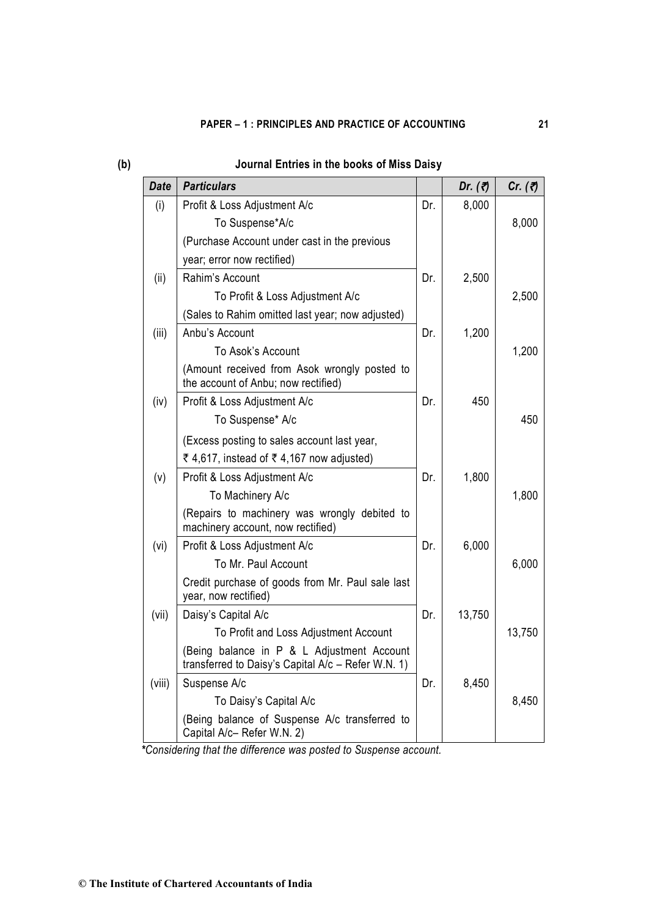# **PAPER – 1 : PRINCIPLES AND PRACTICE OF ACCOUNTING 21**

| <b>Date</b> | <b>Particulars</b>                                                                               |     | Dr. $(\vec{z})$ | Cr. $(7)$ |
|-------------|--------------------------------------------------------------------------------------------------|-----|-----------------|-----------|
| (i)         | Profit & Loss Adjustment A/c                                                                     | Dr. | 8,000           |           |
|             | To Suspense*A/c                                                                                  |     |                 | 8,000     |
|             | (Purchase Account under cast in the previous                                                     |     |                 |           |
|             | year; error now rectified)                                                                       |     |                 |           |
| (ii)        | Rahim's Account                                                                                  | Dr. | 2,500           |           |
|             | To Profit & Loss Adjustment A/c                                                                  |     |                 | 2,500     |
|             | (Sales to Rahim omitted last year; now adjusted)                                                 |     |                 |           |
| (iii)       | Anbu's Account                                                                                   | Dr. | 1,200           |           |
|             | To Asok's Account                                                                                |     |                 | 1,200     |
|             | (Amount received from Asok wrongly posted to<br>the account of Anbu; now rectified)              |     |                 |           |
| (iv)        | Profit & Loss Adjustment A/c                                                                     | Dr. | 450             |           |
|             | To Suspense* A/c                                                                                 |     |                 | 450       |
|             | (Excess posting to sales account last year,                                                      |     |                 |           |
|             | ₹ 4,617, instead of ₹ 4,167 now adjusted)                                                        |     |                 |           |
| (v)         | Profit & Loss Adjustment A/c                                                                     | Dr. | 1,800           |           |
|             | To Machinery A/c                                                                                 |     |                 | 1,800     |
|             | (Repairs to machinery was wrongly debited to<br>machinery account, now rectified)                |     |                 |           |
| (vi)        | Profit & Loss Adjustment A/c                                                                     | Dr. | 6,000           |           |
|             | To Mr. Paul Account                                                                              |     |                 | 6,000     |
|             | Credit purchase of goods from Mr. Paul sale last<br>year, now rectified)                         |     |                 |           |
| (vii)       | Daisy's Capital A/c                                                                              | Dr. | 13,750          |           |
|             | To Profit and Loss Adjustment Account                                                            |     |                 | 13,750    |
|             | (Being balance in P & L Adjustment Account<br>transferred to Daisy's Capital A/c - Refer W.N. 1) |     |                 |           |
| (viii)      | Suspense A/c                                                                                     | Dr. | 8,450           |           |
|             | To Daisy's Capital A/c                                                                           |     |                 | 8,450     |
|             | (Being balance of Suspense A/c transferred to<br>Capital A/c- Refer W.N. 2)                      |     |                 |           |

# **(b) Journal Entries in the books of Miss Daisy**

*\*Considering that the difference was posted to Suspense account.*